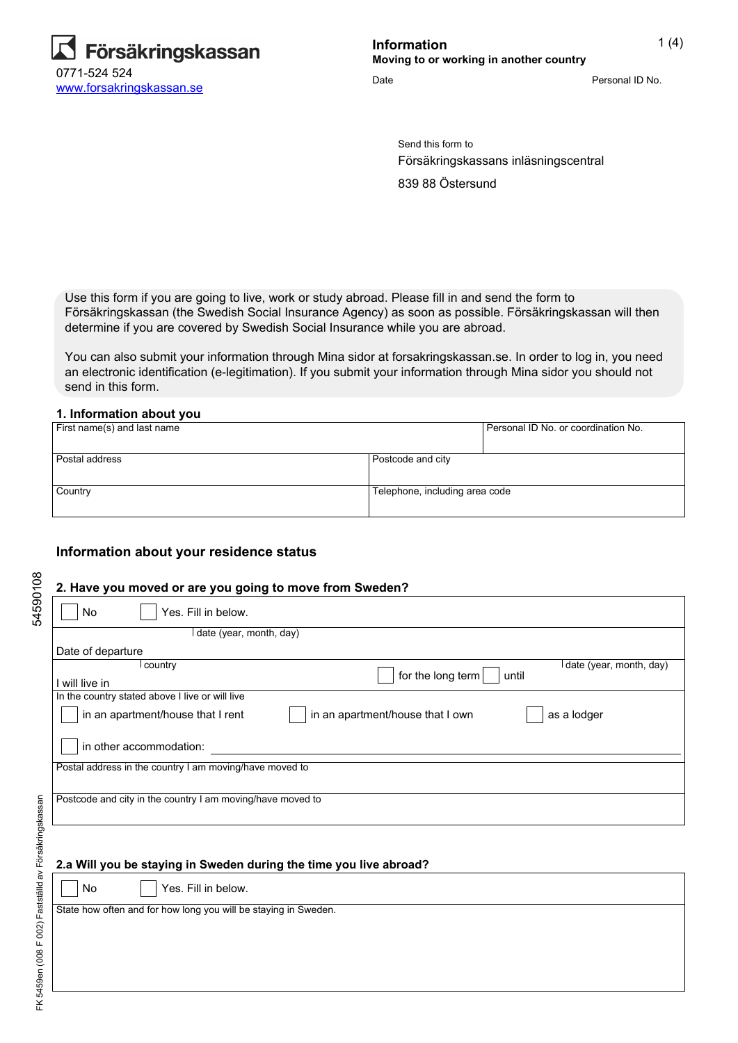

Date **Date** Personal ID No.

Send this form to Försäkringskassans inläsningscentral 839 88 Östersund

Use this form if you are going to live, work or study abroad. Please fill in and send the form to Försäkringskassan (the Swedish Social Insurance Agency) as soon as possible. Försäkringskassan will then determine if you are covered by Swedish Social Insurance while you are abroad.

You can also submit your information through Mina sidor at forsakringskassan.se. In order to log in, you need an electronic identification (e-legitimation). If you submit your information through Mina sidor you should not send in this form.

#### **1. Information about you**

| First name(s) and last name |                                | Personal ID No. or coordination No. |
|-----------------------------|--------------------------------|-------------------------------------|
|                             |                                |                                     |
| l Postal address            | Postcode and city              |                                     |
|                             |                                |                                     |
| Country                     | Telephone, including area code |                                     |
|                             |                                |                                     |

### **Information about your residence status**

### **2. Have you moved or are you going to move from Sweden?**

| Yes. Fill in below.<br>No                                                            |
|--------------------------------------------------------------------------------------|
| date (year, month, day)                                                              |
| Date of departure                                                                    |
| I date (year, month, day)<br>l country<br>for the long term<br>until                 |
| will live in                                                                         |
| In the country stated above I live or will live                                      |
| in an apartment/house that I rent<br>as a lodger<br>in an apartment/house that I own |
| in other accommodation:                                                              |
| Postal address in the country I am moving/have moved to                              |
|                                                                                      |
| Postcode and city in the country I am moving/have moved to                           |

#### **2.a Will you be staying in Sweden during the time you live abroad?**

No **Yes.** Fill in below.

State how often and for how long you will be staying in Sweden.

54590108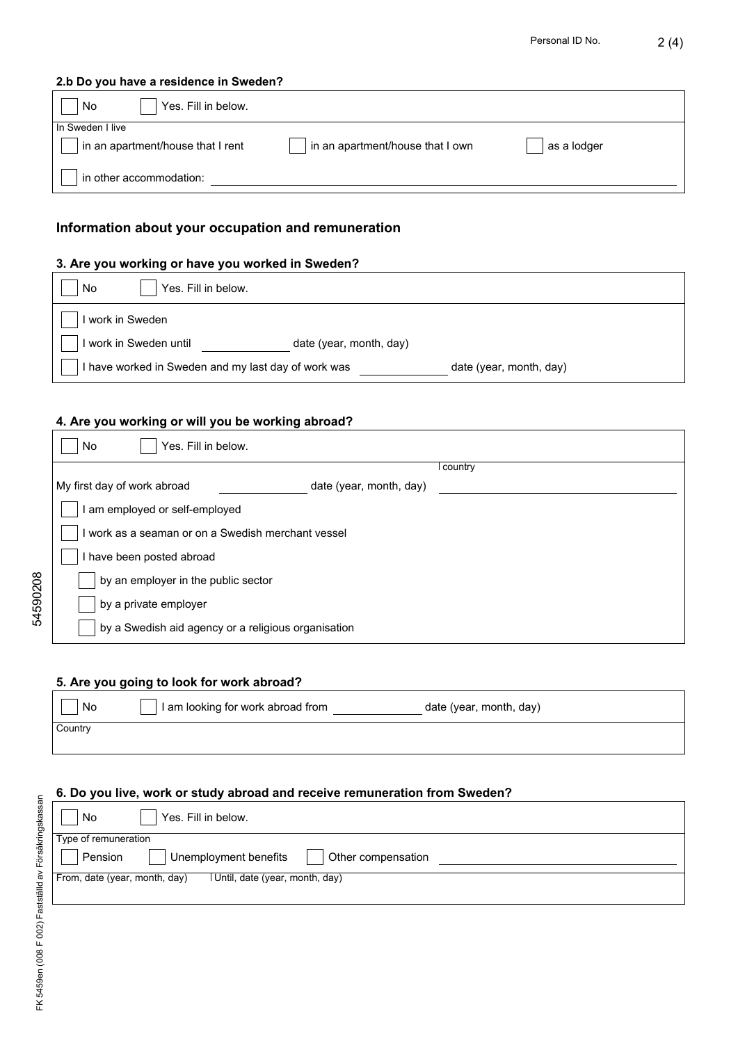## **2.b Do you have a residence in Sweden?**

| Yes. Fill in below.<br>No         |                                  |             |
|-----------------------------------|----------------------------------|-------------|
| In Sweden I live                  |                                  |             |
| in an apartment/house that I rent | in an apartment/house that I own | as a lodger |
| in other accommodation:           |                                  |             |

# **Information about your occupation and remuneration**

## **3. Are you working or have you worked in Sweden?**

| Yes. Fill in below.<br>No                           |                         |                         |
|-----------------------------------------------------|-------------------------|-------------------------|
| work in Sweden                                      |                         |                         |
| work in Sweden until                                | date (year, month, day) |                         |
| I have worked in Sweden and my last day of work was |                         | date (year, month, day) |

# **4. Are you working or will you be working abroad?**

| Yes. Fill in below.<br>No                              |           |
|--------------------------------------------------------|-----------|
|                                                        | l country |
| My first day of work abroad<br>date (year, month, day) |           |
| I am employed or self-employed                         |           |
| I work as a seaman or on a Swedish merchant vessel     |           |
| I have been posted abroad                              |           |
| by an employer in the public sector                    |           |
| by a private employer                                  |           |
| by a Swedish aid agency or a religious organisation    |           |

## **5. Are you going to look for work abroad?**

| No      | I am looking for work abroad from | date (year, month, day) |  |
|---------|-----------------------------------|-------------------------|--|
| Country |                                   |                         |  |

## **6. Do you live, work or study abroad and receive remuneration from Sweden?**

| No                            | Yes. Fill in below.                         |
|-------------------------------|---------------------------------------------|
| Type of remuneration          |                                             |
| Pension                       | Unemployment benefits<br>Other compensation |
| From, date (year, month, day) | Until, date (year, month, day)              |
|                               |                                             |

54590208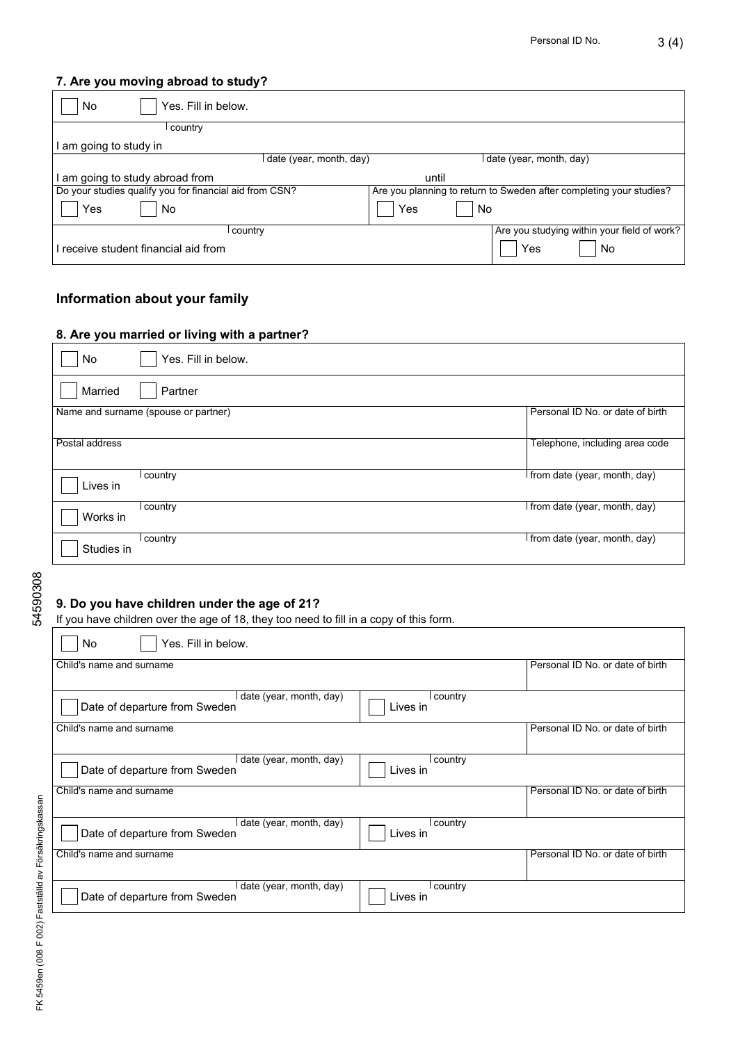## **7. Are you moving abroad to study?**

| Yes. Fill in below.<br>No                               |                                                                     |
|---------------------------------------------------------|---------------------------------------------------------------------|
| country                                                 |                                                                     |
| l am going to study in                                  |                                                                     |
| date (year, month, day)                                 | date (year, month, day)                                             |
| am going to study abroad from                           | until                                                               |
| Do your studies qualify you for financial aid from CSN? | Are you planning to return to Sweden after completing your studies? |
| Yes<br>No                                               | No<br>Yes                                                           |
| country                                                 | Are you studying within your field of work?                         |
| I receive student financial aid from                    | Yes<br>No                                                           |

# **Information about your family**

### **8. Are you married or living with a partner?**

| No             | Yes. Fill in below.                  |                                  |
|----------------|--------------------------------------|----------------------------------|
| Married        | Partner                              |                                  |
|                | Name and surname (spouse or partner) | Personal ID No. or date of birth |
| Postal address |                                      | Telephone, including area code   |
| Lives in       | country                              | from date (year, month, day)     |
| Works in       | country                              | I from date (year, month, day)   |
| Studies in     | country                              | from date (year, month, day)     |

54590308 54590308

## **9. Do you have children under the age of 21?**

If you have children over the age of 18, they too need to fill in a copy of this form.

| Yes. Fill in below.<br>No                                                         |                                  |
|-----------------------------------------------------------------------------------|----------------------------------|
| Child's name and surname                                                          | Personal ID No. or date of birth |
|                                                                                   |                                  |
| date (year, month, day)<br>l country<br>Lives in<br>Date of departure from Sweden |                                  |
| Child's name and surname                                                          | Personal ID No. or date of birth |
| date (year, month, day)<br>l country<br>Lives in<br>Date of departure from Sweden |                                  |
| Child's name and surname                                                          | Personal ID No. or date of birth |
| date (year, month, day)<br>l country<br>Lives in<br>Date of departure from Sweden |                                  |
| Child's name and surname                                                          | Personal ID No. or date of birth |
| date (year, month, day)<br>l country<br>Lives in<br>Date of departure from Sweden |                                  |